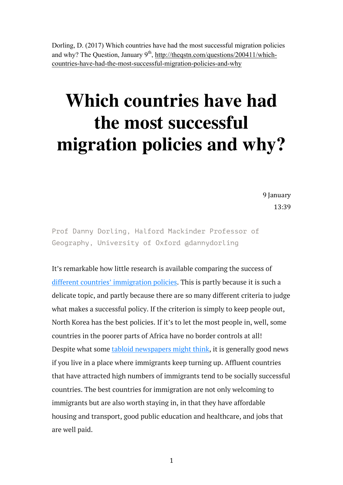Dorling, D. (2017) Which countries have had the most successful migration policies and why? The Question, January  $9<sup>th</sup>$ , http://theqstn.com/questions/200411/whichcountries-have-had-the-most-successful-migration-policies-and-why

## **Which countries have had the most successful migration policies and why?**

9 January 13:39

Prof Danny Dorling, Halford Mackinder Professor of Geography, University of Oxford @dannydorling

It's remarkable how little research is available comparing the success of different countries' immigration policies. This is partly because it is such a delicate topic, and partly because there are so many different criteria to judge what makes a successful policy. If the criterion is simply to keep people out, North Korea has the best policies. If it's to let the most people in, well, some countries in the poorer parts of Africa have no border controls at all! Despite what some tabloid newspapers might think, it is generally good news if you live in a place where immigrants keep turning up. Affluent countries that have attracted high numbers of immigrants tend to be socially successful countries. The best countries for immigration are not only welcoming to immigrants but are also worth staying in, in that they have affordable housing and transport, good public education and healthcare, and jobs that are well paid.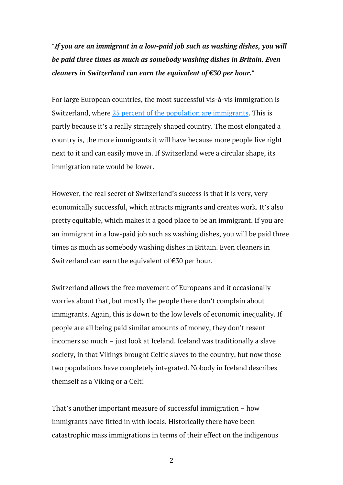*"If you are an immigrant in a low-paid job such as washing dishes, you will be paid three times as much as somebody washing dishes in Britain. Even cleaners in Switzerland can earn the equivalent of €30 per hour."*

For large European countries, the most successful vis-à-vis immigration is Switzerland, where 25 percent of the population are immigrants. This is partly because it's a really strangely shaped country. The most elongated a country is, the more immigrants it will have because more people live right next to it and can easily move in. If Switzerland were a circular shape, its immigration rate would be lower.

However, the real secret of Switzerland's success is that it is very, very economically successful, which attracts migrants and creates work. It's also pretty equitable, which makes it a good place to be an immigrant. If you are an immigrant in a low-paid job such as washing dishes, you will be paid three times as much as somebody washing dishes in Britain. Even cleaners in Switzerland can earn the equivalent of €30 per hour.

Switzerland allows the free movement of Europeans and it occasionally worries about that, but mostly the people there don't complain about immigrants. Again, this is down to the low levels of economic inequality. If people are all being paid similar amounts of money, they don't resent incomers so much – just look at Iceland. Iceland was traditionally a slave society, in that Vikings brought Celtic slaves to the country, but now those two populations have completely integrated. Nobody in Iceland describes themself as a Viking or a Celt!

That's another important measure of successful immigration – how immigrants have fitted in with locals. Historically there have been catastrophic mass immigrations in terms of their effect on the indigenous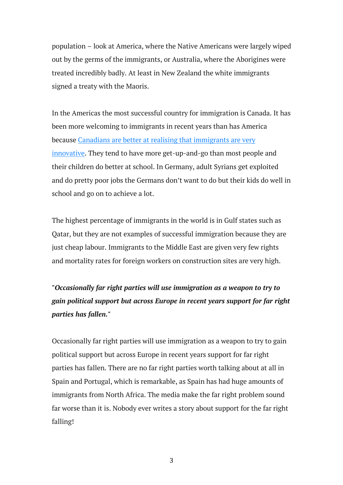population – look at America, where the Native Americans were largely wiped out by the germs of the immigrants, or Australia, where the Aborigines were treated incredibly badly. At least in New Zealand the white immigrants signed a treaty with the Maoris.

In the Americas the most successful country for immigration is Canada. It has been more welcoming to immigrants in recent years than has America because Canadians are better at realising that immigrants are very innovative. They tend to have more get-up-and-go than most people and their children do better at school. In Germany, adult Syrians get exploited and do pretty poor jobs the Germans don't want to do but their kids do well in school and go on to achieve a lot.

The highest percentage of immigrants in the world is in Gulf states such as Qatar, but they are not examples of successful immigration because they are just cheap labour. Immigrants to the Middle East are given very few rights and mortality rates for foreign workers on construction sites are very high.

*"Occasionally far right parties will use immigration as a weapon to try to gain political support but across Europe in recent years support for far right parties has fallen."*

Occasionally far right parties will use immigration as a weapon to try to gain political support but across Europe in recent years support for far right parties has fallen. There are no far right parties worth talking about at all in Spain and Portugal, which is remarkable, as Spain has had huge amounts of immigrants from North Africa. The media make the far right problem sound far worse than it is. Nobody ever writes a story about support for the far right falling!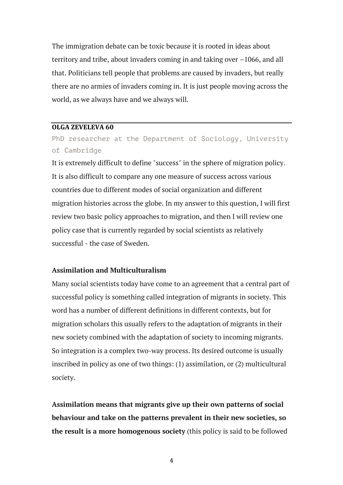The immigration debate can be toxic because it is rooted in ideas about territory and tribe, about invaders coming in and taking over –1066, and all that. Politicians tell people that problems are caused by invaders, but really there are no armies of invaders coming in. It is just people moving across the world, as we always have and we always will.

#### **OLGA ZEVELEVA 60**

PhD researcher at the Department of Sociology, University of Cambridge

It is extremely difficult to define "success" in the sphere of migration policy. It is also difficult to compare any one measure of success across various countries due to different modes of social organization and different migration histories across the globe. In my answer to this question, I will first review two basic policy approaches to migration, and then I will review one policy case that is currently regarded by social scientists as relatively successful - the case of Sweden.

#### **Assimilation and Multiculturalism**

Many social scientists today have come to an agreement that a central part of successful policy is something called integration of migrants in society. This word has a number of different definitions in different contexts, but for migration scholars this usually refers to the adaptation of migrants in their new society combined with the adaptation of society to incoming migrants. So integration is a complex two-way process. Its desired outcome is usually inscribed in policy as one of two things: (1) assimilation, or (2) multicultural society.

**Assimilation means that migrants give up their own patterns of social behaviour and take on the patterns prevalent in their new societies, so the result is a more homogenous society** (this policy is said to be followed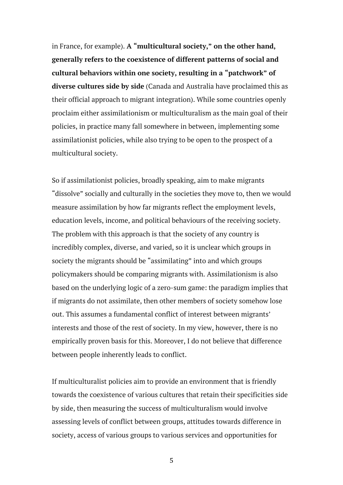in France, for example). **A "multicultural society," on the other hand, generally refers to the coexistence of different patterns of social and cultural behaviors within one society, resulting in a "patchwork" of diverse cultures side by side** (Canada and Australia have proclaimed this as their official approach to migrant integration). While some countries openly proclaim either assimilationism or multiculturalism as the main goal of their policies, in practice many fall somewhere in between, implementing some assimilationist policies, while also trying to be open to the prospect of a multicultural society.

So if assimilationist policies, broadly speaking, aim to make migrants "dissolve" socially and culturally in the societies they move to, then we would measure assimilation by how far migrants reflect the employment levels, education levels, income, and political behaviours of the receiving society. The problem with this approach is that the society of any country is incredibly complex, diverse, and varied, so it is unclear which groups in society the migrants should be "assimilating" into and which groups policymakers should be comparing migrants with. Assimilationism is also based on the underlying logic of a zero-sum game: the paradigm implies that if migrants do not assimilate, then other members of society somehow lose out. This assumes a fundamental conflict of interest between migrants' interests and those of the rest of society. In my view, however, there is no empirically proven basis for this. Moreover, I do not believe that difference between people inherently leads to conflict.

If multiculturalist policies aim to provide an environment that is friendly towards the coexistence of various cultures that retain their specificities side by side, then measuring the success of multiculturalism would involve assessing levels of conflict between groups, attitudes towards difference in society, access of various groups to various services and opportunities for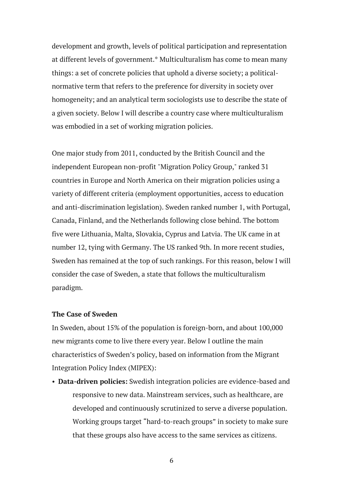development and growth, levels of political participation and representation at different levels of government.\* Multiculturalism has come to mean many things: a set of concrete policies that uphold a diverse society; a politicalnormative term that refers to the preference for diversity in society over homogeneity; and an analytical term sociologists use to describe the state of a given society. Below I will describe a country case where multiculturalism was embodied in a set of working migration policies.

One major study from 2011, conducted by the British Council and the independent European non-profit "Migration Policy Group," ranked 31 countries in Europe and North America on their migration policies using a variety of different criteria (employment opportunities, access to education and anti-discrimination legislation). Sweden ranked number 1, with Portugal, Canada, Finland, and the Netherlands following close behind. The bottom five were Lithuania, Malta, Slovakia, Cyprus and Latvia. The UK came in at number 12, tying with Germany. The US ranked 9th. In more recent studies, Sweden has remained at the top of such rankings. For this reason, below I will consider the case of Sweden, a state that follows the multiculturalism paradigm.

### **The Case of Sweden**

In Sweden, about 15% of the population is foreign-born, and about 100,000 new migrants come to live there every year. Below I outline the main characteristics of Sweden's policy, based on information from the Migrant Integration Policy Index (MIPEX):

• **Data-driven policies:** Swedish integration policies are evidence-based and responsive to new data. Mainstream services, such as healthcare, are developed and continuously scrutinized to serve a diverse population. Working groups target "hard-to-reach groups" in society to make sure that these groups also have access to the same services as citizens.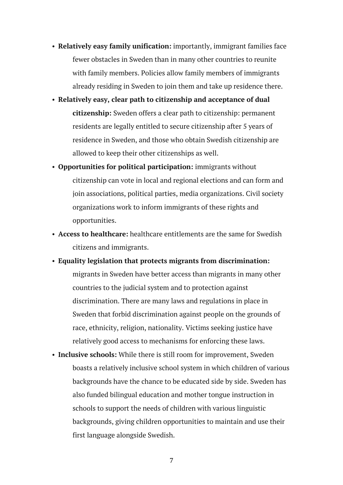- **Relatively easy family unification:** importantly, immigrant families face fewer obstacles in Sweden than in many other countries to reunite with family members. Policies allow family members of immigrants already residing in Sweden to join them and take up residence there.
- **Relatively easy, clear path to citizenship and acceptance of dual citizenship:** Sweden offers a clear path to citizenship: permanent residents are legally entitled to secure citizenship after 5 years of residence in Sweden, and those who obtain Swedish citizenship are allowed to keep their other citizenships as well.
- **Opportunities for political participation:** immigrants without citizenship can vote in local and regional elections and can form and join associations, political parties, media organizations. Civil society organizations work to inform immigrants of these rights and opportunities.
- **Access to healthcare:** healthcare entitlements are the same for Swedish citizens and immigrants.
- **Equality legislation that protects migrants from discrimination:** migrants in Sweden have better access than migrants in many other countries to the judicial system and to protection against discrimination. There are many laws and regulations in place in Sweden that forbid discrimination against people on the grounds of race, ethnicity, religion, nationality. Victims seeking justice have relatively good access to mechanisms for enforcing these laws.
- **Inclusive schools:** While there is still room for improvement, Sweden boasts a relatively inclusive school system in which children of various backgrounds have the chance to be educated side by side. Sweden has also funded bilingual education and mother tongue instruction in schools to support the needs of children with various linguistic backgrounds, giving children opportunities to maintain and use their first language alongside Swedish.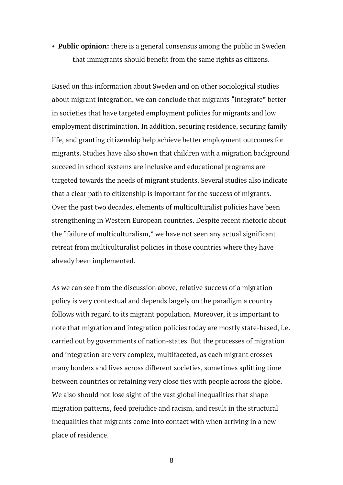• **Public opinion:** there is a general consensus among the public in Sweden that immigrants should benefit from the same rights as citizens.

Based on this information about Sweden and on other sociological studies about migrant integration, we can conclude that migrants "integrate" better in societies that have targeted employment policies for migrants and low employment discrimination. In addition, securing residence, securing family life, and granting citizenship help achieve better employment outcomes for migrants. Studies have also shown that children with a migration background succeed in school systems are inclusive and educational programs are targeted towards the needs of migrant students. Several studies also indicate that a clear path to citizenship is important for the success of migrants. Over the past two decades, elements of multiculturalist policies have been strengthening in Western European countries. Despite recent rhetoric about the "failure of multiculturalism," we have not seen any actual significant retreat from multiculturalist policies in those countries where they have already been implemented.

As we can see from the discussion above, relative success of a migration policy is very contextual and depends largely on the paradigm a country follows with regard to its migrant population. Moreover, it is important to note that migration and integration policies today are mostly state-based, i.e. carried out by governments of nation-states. But the processes of migration and integration are very complex, multifaceted, as each migrant crosses many borders and lives across different societies, sometimes splitting time between countries or retaining very close ties with people across the globe. We also should not lose sight of the vast global inequalities that shape migration patterns, feed prejudice and racism, and result in the structural inequalities that migrants come into contact with when arriving in a new place of residence.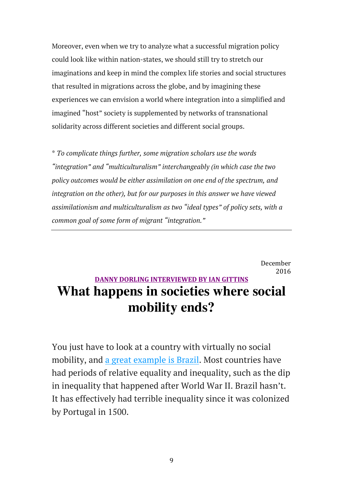Moreover, even when we try to analyze what a successful migration policy could look like within nation-states, we should still try to stretch our imaginations and keep in mind the complex life stories and social structures that resulted in migrations across the globe, and by imagining these experiences we can envision a world where integration into a simplified and imagined "host" society is supplemented by networks of transnational solidarity across different societies and different social groups.

\* *To complicate things further, some migration scholars use the words "integration" and "multiculturalism" interchangeably (in which case the two policy outcomes would be either assimilation on one end of the spectrum, and integration on the other), but for our purposes in this answer we have viewed assimilationism and multiculturalism as two "ideal types" of policy sets, with a common goal of some form of migrant "integration."*

> December 2016

## **DANNY DORLING INTERVIEWED BY IAN GITTINS What happens in societies where social mobility ends?**

You just have to look at a country with virtually no social mobility, and a great example is Brazil. Most countries have had periods of relative equality and inequality, such as the dip in inequality that happened after World War II. Brazil hasn't. It has effectively had terrible inequality since it was colonized by Portugal in 1500.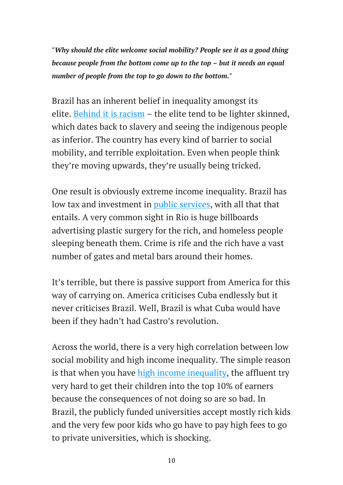*"Why should the elite welcome social mobility? People see it as a good thing because people from the bottom come up to the top – but it needs an equal number of people from the top to go down to the bottom."*

Brazil has an inherent belief in inequality amongst its elite. Behind it is racism – the elite tend to be lighter skinned, which dates back to slavery and seeing the indigenous people as inferior. The country has every kind of barrier to social mobility, and terrible exploitation. Even when people think they're moving upwards, they're usually being tricked.

One result is obviously extreme income inequality. Brazil has low tax and investment in *public services*, with all that that entails. A very common sight in Rio is huge billboards advertising plastic surgery for the rich, and homeless people sleeping beneath them. Crime is rife and the rich have a vast number of gates and metal bars around their homes.

It's terrible, but there is passive support from America for this way of carrying on. America criticises Cuba endlessly but it never criticises Brazil. Well, Brazil is what Cuba would have been if they hadn't had Castro's revolution.

Across the world, there is a very high correlation between low social mobility and high income inequality. The simple reason is that when you have high income inequality, the affluent try very hard to get their children into the top 10% of earners because the consequences of not doing so are so bad. In Brazil, the publicly funded universities accept mostly rich kids and the very few poor kids who go have to pay high fees to go to private universities, which is shocking.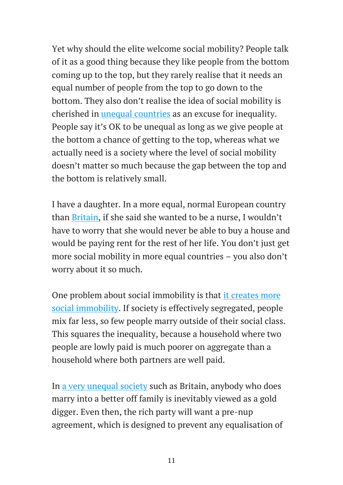Yet why should the elite welcome social mobility? People talk of it as a good thing because they like people from the bottom coming up to the top, but they rarely realise that it needs an equal number of people from the top to go down to the bottom. They also don't realise the idea of social mobility is cherished in unequal countries as an excuse for inequality. People say it's OK to be unequal as long as we give people at the bottom a chance of getting to the top, whereas what we actually need is a society where the level of social mobility doesn't matter so much because the gap between the top and the bottom is relatively small.

I have a daughter. In a more equal, normal European country than Britain, if she said she wanted to be a nurse, I wouldn't have to worry that she would never be able to buy a house and would be paying rent for the rest of her life. You don't just get more social mobility in more equal countries – you also don't worry about it so much.

One problem about social immobility is that it creates more social immobility. If society is effectively segregated, people mix far less, so few people marry outside of their social class. This squares the inequality, because a household where two people are lowly paid is much poorer on aggregate than a household where both partners are well paid.

In a very unequal society such as Britain, anybody who does marry into a better off family is inevitably viewed as a gold digger. Even then, the rich party will want a pre-nup agreement, which is designed to prevent any equalisation of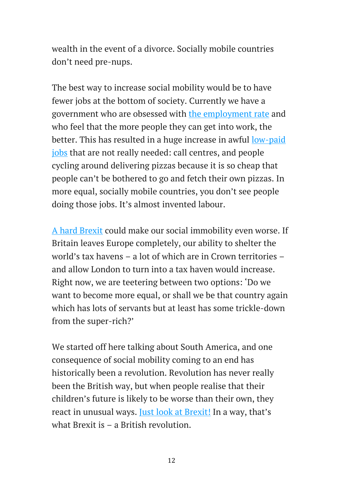wealth in the event of a divorce. Socially mobile countries don't need pre-nups.

The best way to increase social mobility would be to have fewer jobs at the bottom of society. Currently we have a government who are obsessed with the employment rate and who feel that the more people they can get into work, the better. This has resulted in a huge increase in awful low-paid jobs that are not really needed: call centres, and people cycling around delivering pizzas because it is so cheap that people can't be bothered to go and fetch their own pizzas. In more equal, socially mobile countries, you don't see people doing those jobs. It's almost invented labour.

A hard Brexit could make our social immobility even worse. If Britain leaves Europe completely, our ability to shelter the world's tax havens – a lot of which are in Crown territories – and allow London to turn into a tax haven would increase. Right now, we are teetering between two options: 'Do we want to become more equal, or shall we be that country again which has lots of servants but at least has some trickle-down from the super-rich?'

We started off here talking about South America, and one consequence of social mobility coming to an end has historically been a revolution. Revolution has never really been the British way, but when people realise that their children's future is likely to be worse than their own, they react in unusual ways. Just look at Brexit! In a way, that's what Brexit is – a British revolution.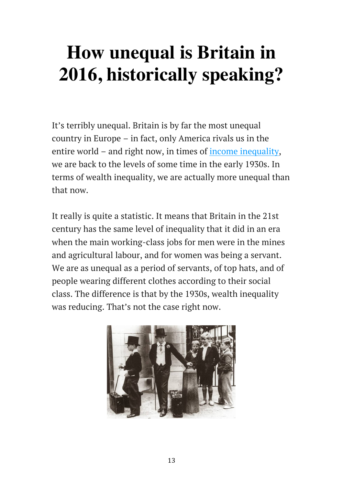## **How unequal is Britain in 2016, historically speaking?**

It's terribly unequal. Britain is by far the most unequal country in Europe – in fact, only America rivals us in the entire world – and right now, in times of income inequality, we are back to the levels of some time in the early 1930s. In terms of wealth inequality, we are actually more unequal than that now.

It really is quite a statistic. It means that Britain in the 21st century has the same level of inequality that it did in an era when the main working-class jobs for men were in the mines and agricultural labour, and for women was being a servant. We are as unequal as a period of servants, of top hats, and of people wearing different clothes according to their social class. The difference is that by the 1930s, wealth inequality was reducing. That's not the case right now.

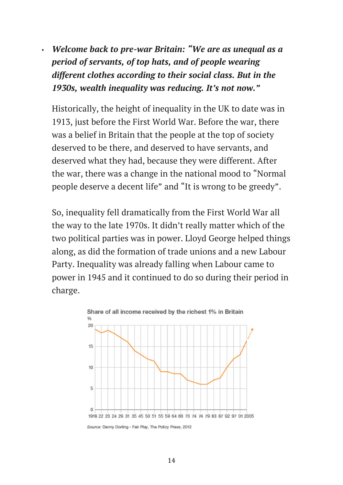• *Welcome back to pre-war Britain: "We are as unequal as a period of servants, of top hats, and of people wearing different clothes according to their social class. But in the 1930s, wealth inequality was reducing. It's not now."*

Historically, the height of inequality in the UK to date was in 1913, just before the First World War. Before the war, there was a belief in Britain that the people at the top of society deserved to be there, and deserved to have servants, and deserved what they had, because they were different. After the war, there was a change in the national mood to "Normal people deserve a decent life" and "It is wrong to be greedy".

So, inequality fell dramatically from the First World War all the way to the late 1970s. It didn't really matter which of the two political parties was in power. Lloyd George helped things along, as did the formation of trade unions and a new Labour Party. Inequality was already falling when Labour came to power in 1945 and it continued to do so during their period in charge.



Source: Danny Dorling - Fair Play, The Policy Press, 2012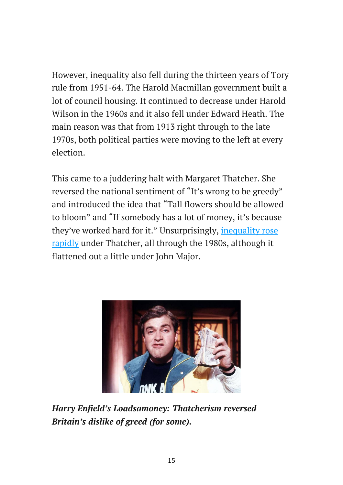However, inequality also fell during the thirteen years of Tory rule from 1951-64. The Harold Macmillan government built a lot of council housing. It continued to decrease under Harold Wilson in the 1960s and it also fell under Edward Heath. The main reason was that from 1913 right through to the late 1970s, both political parties were moving to the left at every election.

This came to a juddering halt with Margaret Thatcher. She reversed the national sentiment of "It's wrong to be greedy" and introduced the idea that "Tall flowers should be allowed to bloom" and "If somebody has a lot of money, it's because they've worked hard for it." Unsurprisingly, inequality rose rapidly under Thatcher, all through the 1980s, although it flattened out a little under John Major.



*Harry Enfield's Loadsamoney: Thatcherism reversed Britain's dislike of greed (for some).*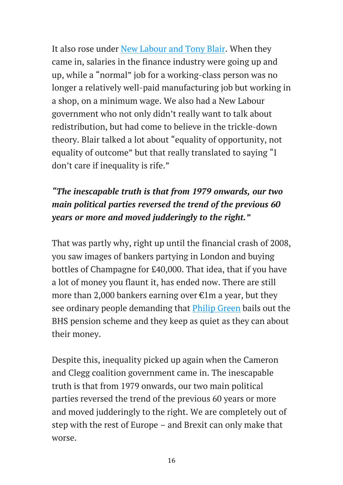It also rose under New Labour and Tony Blair. When they came in, salaries in the finance industry were going up and up, while a "normal" job for a working-class person was no longer a relatively well-paid manufacturing job but working in a shop, on a minimum wage. We also had a New Labour government who not only didn't really want to talk about redistribution, but had come to believe in the trickle-down theory. Blair talked a lot about "equality of opportunity, not equality of outcome" but that really translated to saying "I don't care if inequality is rife."

### *"The inescapable truth is that from 1979 onwards, our two main political parties reversed the trend of the previous 60 years or more and moved judderingly to the right."*

That was partly why, right up until the financial crash of 2008, you saw images of bankers partying in London and buying bottles of Champagne for £40,000. That idea, that if you have a lot of money you flaunt it, has ended now. There are still more than 2,000 bankers earning over  $\epsilon$ 1m a year, but they see ordinary people demanding that Philip Green bails out the BHS pension scheme and they keep as quiet as they can about their money.

Despite this, inequality picked up again when the Cameron and Clegg coalition government came in. The inescapable truth is that from 1979 onwards, our two main political parties reversed the trend of the previous 60 years or more and moved judderingly to the right. We are completely out of step with the rest of Europe – and Brexit can only make that worse.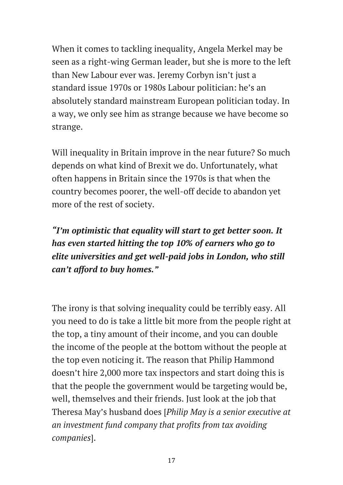When it comes to tackling inequality, Angela Merkel may be seen as a right-wing German leader, but she is more to the left than New Labour ever was. Jeremy Corbyn isn't just a standard issue 1970s or 1980s Labour politician: he's an absolutely standard mainstream European politician today. In a way, we only see him as strange because we have become so strange.

Will inequality in Britain improve in the near future? So much depends on what kind of Brexit we do. Unfortunately, what often happens in Britain since the 1970s is that when the country becomes poorer, the well-off decide to abandon yet more of the rest of society.

*"I'm optimistic that equality will start to get better soon. It has even started hitting the top 10% of earners who go to elite universities and get well-paid jobs in London, who still can't afford to buy homes."*

The irony is that solving inequality could be terribly easy. All you need to do is take a little bit more from the people right at the top, a tiny amount of their income, and you can double the income of the people at the bottom without the people at the top even noticing it. The reason that Philip Hammond doesn't hire 2,000 more tax inspectors and start doing this is that the people the government would be targeting would be, well, themselves and their friends. Just look at the job that Theresa May's husband does [*Philip May is a senior executive at an investment fund company that profits from tax avoiding companies*].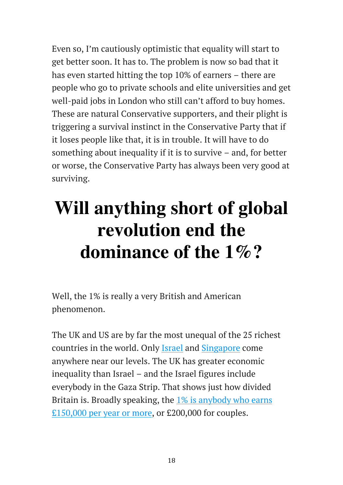Even so, I'm cautiously optimistic that equality will start to get better soon. It has to. The problem is now so bad that it has even started hitting the top 10% of earners – there are people who go to private schools and elite universities and get well-paid jobs in London who still can't afford to buy homes. These are natural Conservative supporters, and their plight is triggering a survival instinct in the Conservative Party that if it loses people like that, it is in trouble. It will have to do something about inequality if it is to survive – and, for better or worse, the Conservative Party has always been very good at surviving.

# **Will anything short of global revolution end the dominance of the 1%?**

Well, the 1% is really a very British and American phenomenon.

The UK and US are by far the most unequal of the 25 richest countries in the world. Only Israel and Singapore come anywhere near our levels. The UK has greater economic inequality than Israel – and the Israel figures include everybody in the Gaza Strip. That shows just how divided Britain is. Broadly speaking, the 1% is anybody who earns £150,000 per year or more, or £200,000 for couples.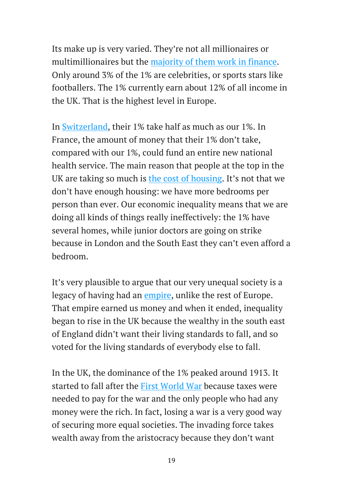Its make up is very varied. They're not all millionaires or multimillionaires but the majority of them work in finance. Only around 3% of the 1% are celebrities, or sports stars like footballers. The 1% currently earn about 12% of all income in the UK. That is the highest level in Europe.

In Switzerland, their 1% take half as much as our 1%. In France, the amount of money that their 1% don't take, compared with our 1%, could fund an entire new national health service. The main reason that people at the top in the UK are taking so much is the cost of housing. It's not that we don't have enough housing: we have more bedrooms per person than ever. Our economic inequality means that we are doing all kinds of things really ineffectively: the 1% have several homes, while junior doctors are going on strike because in London and the South East they can't even afford a bedroom.

It's very plausible to argue that our very unequal society is a legacy of having had an empire, unlike the rest of Europe. That empire earned us money and when it ended, inequality began to rise in the UK because the wealthy in the south east of England didn't want their living standards to fall, and so voted for the living standards of everybody else to fall.

In the UK, the dominance of the 1% peaked around 1913. It started to fall after the First World War because taxes were needed to pay for the war and the only people who had any money were the rich. In fact, losing a war is a very good way of securing more equal societies. The invading force takes wealth away from the aristocracy because they don't want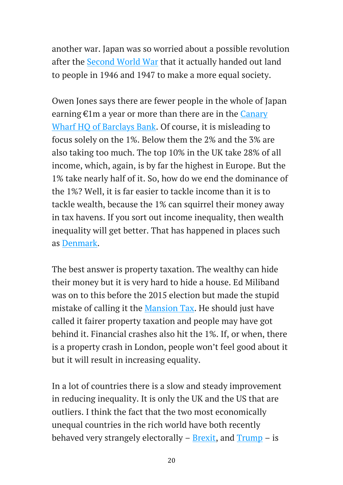another war. Japan was so worried about a possible revolution after the Second World War that it actually handed out land to people in 1946 and 1947 to make a more equal society.

Owen Jones says there are fewer people in the whole of Japan earning €1m a year or more than there are in the Canary Wharf HQ of Barclays Bank. Of course, it is misleading to focus solely on the 1%. Below them the 2% and the 3% are also taking too much. The top 10% in the UK take 28% of all income, which, again, is by far the highest in Europe. But the 1% take nearly half of it. So, how do we end the dominance of the 1%? Well, it is far easier to tackle income than it is to tackle wealth, because the 1% can squirrel their money away in tax havens. If you sort out income inequality, then wealth inequality will get better. That has happened in places such as Denmark.

The best answer is property taxation. The wealthy can hide their money but it is very hard to hide a house. Ed Miliband was on to this before the 2015 election but made the stupid mistake of calling it the Mansion Tax. He should just have called it fairer property taxation and people may have got behind it. Financial crashes also hit the 1%. If, or when, there is a property crash in London, people won't feel good about it but it will result in increasing equality.

In a lot of countries there is a slow and steady improvement in reducing inequality. It is only the UK and the US that are outliers. I think the fact that the two most economically unequal countries in the rich world have both recently behaved very strangely electorally  $-$  Brexit, and Trump  $-$  is